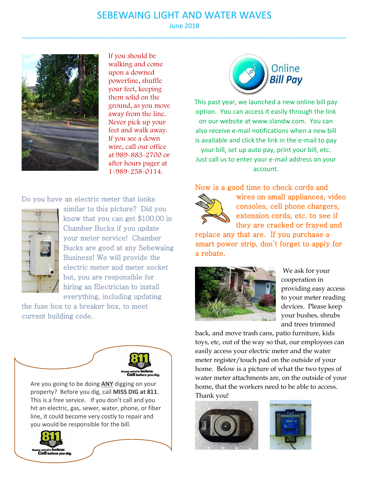## SEBEWAING LIGHT AND WATER WAVES June 2018

\_\_\_\_\_\_\_\_\_\_\_\_\_\_\_\_\_\_\_\_\_\_\_\_\_\_\_\_\_\_\_\_\_\_\_\_\_\_\_\_\_\_\_\_\_\_\_\_\_\_\_\_\_\_\_\_\_\_\_\_\_\_\_\_\_\_\_\_\_\_\_\_\_\_\_\_\_\_\_\_\_\_\_\_\_\_\_\_\_\_



If you should be walking and come upon a downed powerline, shuffle your feet, keeping them solid on the ground, as you move away from the line. Never pick up your feet and walk away. If you see a down wire, call our office at 989-883-2700 or after hours pager at 1-989-258-0114.

Do you have an electric meter that looks



similar to this picture? Did you know that you can get \$100.00 in Chamber Bucks if you update your meter service! Chamber Bucks are good at any Sebewaing Business! We will provide the electric meter and meter socket but, you are responsible for hiring an Electrician to install everything, including updating

the fuse box to a breaker box, to meet current building code.



hit an electric, gas, sewer, water, phone, or fiber line, it could become very costly to repair and you would be responsible for the bill.



This past year, we launched a new online bill pay option. You can access it easily through the link on our website at www.slandw.com. You can also receive e-mail notifications when a new bill is available and click the link in the e-mail to pay your bill, set up auto pay, print your bill, etc. Just call us to enter your e-mail address on your account.

Now is a good time to check cords and



wires on small appliances, video consoles, cell phone chargers, extension cords, etc. to see if they are cracked or frayed and

Online **Bill Pav** 

replace any that are. If you purchase a smart power strip, don't forget to apply for a rebate.



We ask for your cooperation in providing easy access to your meter reading devices. Please keep your bushes, shrubs and trees trimmed

back, and move trash cans, patio furniture, kids toys, etc, out of the way so that, our employees can easily access your electric meter and the water meter register/touch pad on the outside of your home. Below is a picture of what the two types of water meter attachments are, on the outside of your home, that the workers need to be able to access. Thank you!